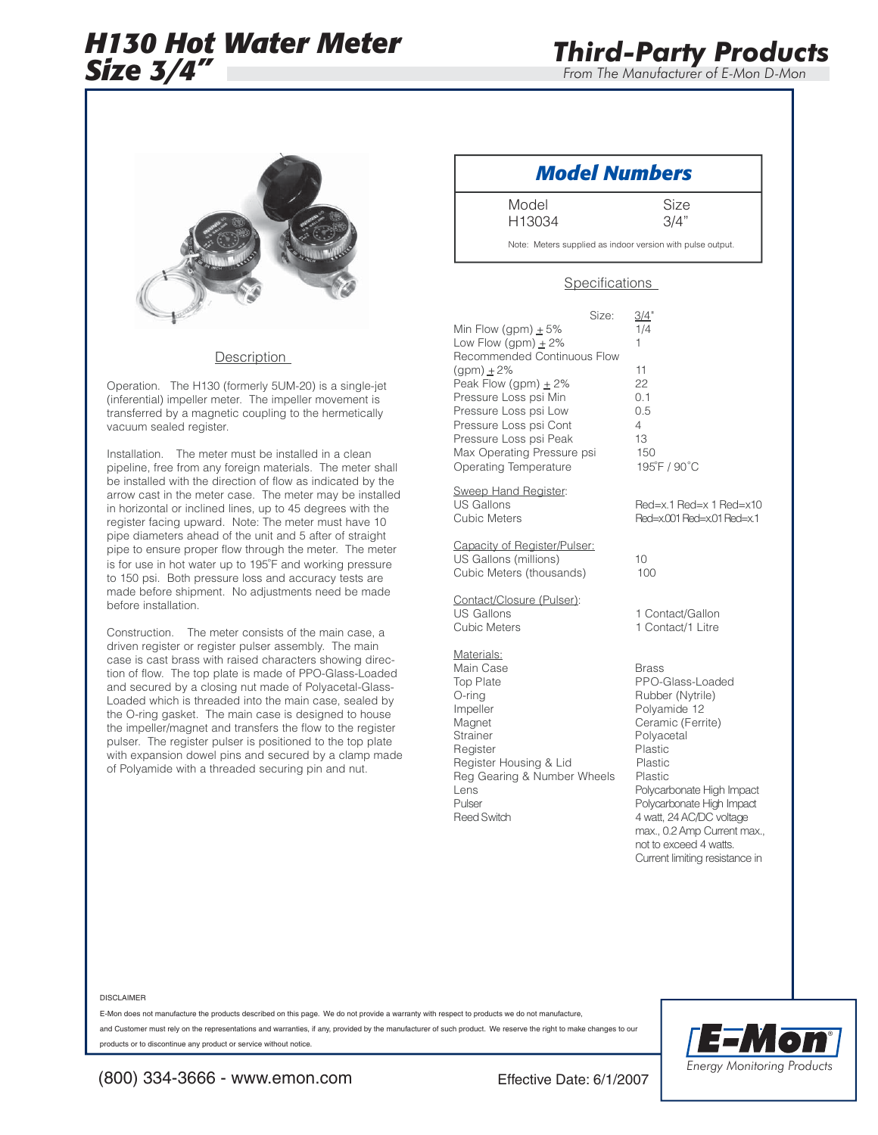# *H130 Hot Water Meter Size 3/4"*

*From The Manufacturer of E-Mon D-Mon*



## **Description**

Operation. The H130 (formerly 5UM-20) is a single-jet (inferential) impeller meter. The impeller movement is transferred by a magnetic coupling to the hermetically vacuum sealed register.

Installation. The meter must be installed in a clean pipeline, free from any foreign materials. The meter shall be installed with the direction of flow as indicated by the arrow cast in the meter case. The meter may be installed in horizontal or inclined lines, up to 45 degrees with the register facing upward. Note: The meter must have 10 pipe diameters ahead of the unit and 5 after of straight pipe to ensure proper flow through the meter. The meter is for use in hot water up to 195°F and working pressure to 150 psi. Both pressure loss and accuracy tests are made before shipment. No adjustments need be made before installation.

Construction. The meter consists of the main case, a driven register or register pulser assembly. The main case is cast brass with raised characters showing direction of flow. The top plate is made of PPO-Glass-Loaded and secured by a closing nut made of Polyacetal-Glass-Loaded which is threaded into the main case, sealed by the O-ring gasket. The main case is designed to house the impeller/magnet and transfers the flow to the register pulser. The register pulser is positioned to the top plate with expansion dowel pins and secured by a clamp made of Polyamide with a threaded securing pin and nut.

# *Model Numbers*

Model Size

H13034 3/4"

Note: Meters supplied as indoor version with pulse output.

## Specifications

| Min Flow (gpm) $\pm$ 5%<br>Low Flow (gpm) $\pm 2\%$<br>Recommended Continuous Flow<br>(gpm) + 2%<br>Peak Flow (gpm) $\pm$ 2%<br>Pressure Loss psi Min<br>Pressure Loss psi Low<br>Pressure Loss psi Cont<br>Pressure Loss psi Peak<br>Max Operating Pressure psi<br>Operating Temperature | Size: | $\frac{3/4}{1/4}$<br>1<br>11<br>22<br>0.1<br>0.5<br>4<br>13<br>150<br>195°F / 90°C                                                                                                                                                                                                      |
|-------------------------------------------------------------------------------------------------------------------------------------------------------------------------------------------------------------------------------------------------------------------------------------------|-------|-----------------------------------------------------------------------------------------------------------------------------------------------------------------------------------------------------------------------------------------------------------------------------------------|
| <u>Sweep Hand Register</u> :<br><b>US Gallons</b><br><b>Cubic Meters</b>                                                                                                                                                                                                                  |       | Red=x.1 Red=x 1 Red=x10<br>Red=x.001 Red=x.01 Red=x.1                                                                                                                                                                                                                                   |
| Capacity of Register/Pulser:<br>US Gallons (millions)<br>Cubic Meters (thousands)                                                                                                                                                                                                         |       | 10<br>100                                                                                                                                                                                                                                                                               |
| Contact/Closure (Pulser):<br><b>US Gallons</b><br>Cubic Meters                                                                                                                                                                                                                            |       | 1 Contact/Gallon<br>1 Contact/1 Litre                                                                                                                                                                                                                                                   |
| <u>Materials:</u><br>Main Case<br><b>Top Plate</b><br>O-ring<br>Impeller<br>Magnet<br>Strainer<br>Register<br>Register Housing & Lid<br>Reg Gearing & Number Wheels<br>Lens<br>Pulser<br><b>Reed Switch</b>                                                                               |       | <b>Brass</b><br>PPO-Glass-Loaded<br>Rubber (Nytrile)<br>Polyamide 12<br>Ceramic (Ferrite)<br>Polyacetal<br>Plastic<br>Plastic<br>Plastic<br>Polycarbonate High Impact<br>Polycarbonate High Impact<br>4 watt, 24 AC/DC voltage<br>max., 0.2 Amp Current max.,<br>not to exceed 4 watts. |

#### DISCLAIMER

E-Mon does not manufacture the products described on this page. We do not provide a warranty with respect to products we do not manufacture,

and Customer must rely on the representations and warranties, if any, provided by the manufacturer of such product. We reserve the right to make changes to our products or to discontinue any product or service without notice.



Current limiting resistance in

(800) 334-3666 - www.emon.com Effective Date: 6/1/2007